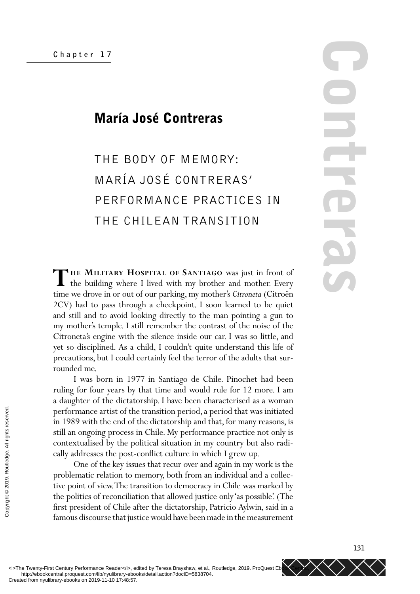# **María José Contreras**

THE BODY OF MEMORY: MARÍA JOSÉ CONTRERAS' [PERFORMANCE PRACTICES IN](#page--1-0)  THE CHILEAN TRANSITION

**T HE MILITARY HOSPITAL OF SANTIAGO** was just in front of the building where I lived with my brother and mother. Every time we drove in or out of our parking, my mother's *Citroneta* (Citroën 2CV) had to pass through a checkpoint. I soon learned to be quiet and still and to avoid looking directly to the man pointing a gun to my mother's temple. I still remember the contrast of the noise of the Citroneta's engine with the silence inside our car. I was so little, and yet so disciplined. As a child, I couldn't quite understand this life of precautions, but I could certainly feel the terror of the adults that surrounded me.

I was born in 1977 in Santiago de Chile. Pinochet had been ruling for four years by that time and would rule for 12 more. I am a daughter of the dictatorship. I have been characterised as a woman performance artist of the transition period, a period that was initiated in 1989 with the end of the dictatorship and that, for many reasons, is still an ongoing process in Chile. My performance practice not only is contextualised by the political situation in my country but also radically addresses the post-conflict culture in which I grew up.

One of the key issues that recur over and again in my work is the problematic relation to memory, both from an individual and a collective point of view. The transition to democracy in Chile was marked by the politics of reconciliation that allowed justice only 'as possible'. (The first president of Chile after the dictatorship, Patricio Aylwin, said in a famous discourse that justice would have been made in the measurement Proformance artist of the in 1989 with the end of<br>
still an ongoing process is<br>
contextualised by the pe<br>
cally addresses the post-<br>
One of the key issue<br>
problematic relation to r<br>
tive point of view. The transfer<br>
the po

**Contreras**



<i>The Twenty-First Century Performance Reader</i>, edited by Teresa Brayshaw, et al., Routledge, 2019. ProQuest Ebook Central, http://ebookcentral.proquest.com/lib/nyulibrary-ebooks/detail.action?docID=5838704.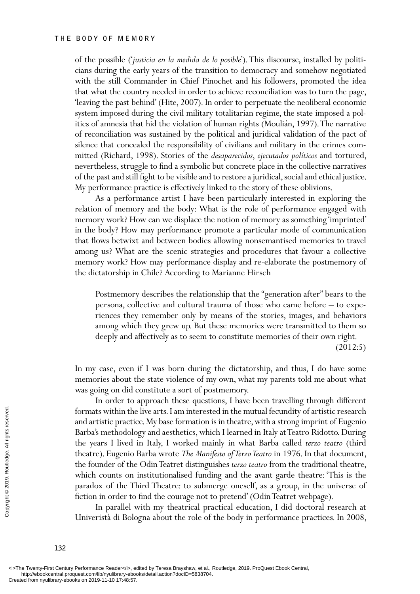of the possible ('*justicia en la medida de lo posible*'). This discourse, installed by politicians during the early years of the transition to democracy and somehow negotiated with the still Commander in Chief Pinochet and his followers, promoted the idea that what the country needed in order to achieve reconciliation was to turn the page, 'leaving the past behind' (Hite, 2007). In order to perpetuate the neoliberal economic system imposed during the civil military totalitarian regime, the state imposed a politics of amnesia that hid the violation of human rights (Moulián, 1997). The narrative of reconciliation was sustained by the political and juridical validation of the pact of silence that concealed the responsibility of civilians and military in the crimes committed (Richard, 1998). Stories of the *desaparecidos*, *ejecutados políticos* and tortured, nevertheless, struggle to find a symbolic but concrete place in the collective narratives of the past and still fight to be visible and to restore a juridical, social and ethical justice. My performance practice is effectively linked to the story of these oblivions.

As a performance artist I have been particularly interested in exploring the relation of memory and the body: What is the role of performance engaged with memory work? How can we displace the notion of memory as something 'imprinted' in the body? How may performance promote a particular mode of communication that flows betwixt and between bodies allowing nonsemantised memories to travel among us? What are the scenic strategies and procedures that favour a collective memory work? How may performance display and re-elaborate the postmemory of the dictatorship in Chile? According to Marianne Hirsch

Postmemory describes the relationship that the "generation after" bears to the persona, collective and cultural trauma of those who came before – to experiences they remember only by means of the stories, images, and behaviors among which they grew up. But these memories were transmitted to them so deeply and affectively as to seem to constitute memories of their own right.

(2012:5)

In my case, even if I was born during the dictatorship, and thus, I do have some memories about the state violence of my own, what my parents told me about what was going on did constitute a sort of postmemory.

In order to approach these questions, I have been travelling through different formats within the live arts. I am interested in the mutual fecundity of artistic research and artistic practice. My base formation is in theatre, with a strong imprint of Eugenio Barba's methodology and aesthetics, which I learned in Italy at Teatro Ridotto. During the years I lived in Italy, I worked mainly in what Barba called *terzo teatro* (third theatre). Eugenio Barba wrote *The Manifesto of Terzo Teatro* in 1976. In that document, the founder of the Odin Teatret distinguishes *terzo teatro* from the traditional theatre, which counts on institutionalised funding and the avant garde theatre: 'This is the paradox of the Third Theatre: to submerge oneself, as a group, in the universe of fiction in order to find the courage not to pretend' (Odin Teatret webpage). France formats within the<br>
and artistic practic<br>
and artistic practic<br>
care of the spars I lived<br>
the years I lived<br>
the spars I lived<br>
the spars is lived.<br>
the founder of the<br>
which counts on<br>
paradox of the TI<br>
fiction

In parallel with my theatrical practical education, I did doctoral research at Univeristà di Bologna about the role of the body in performance practices. In 2008,

<sup>&</sup>lt;i>The Twenty-First Century Performance Reader</i>, edited by Teresa Brayshaw, et al., Routledge, 2019. ProQuest Ebook Central, http://ebookcentral.proquest.com/lib/nyulibrary-ebooks/detail.action?docID=5838704.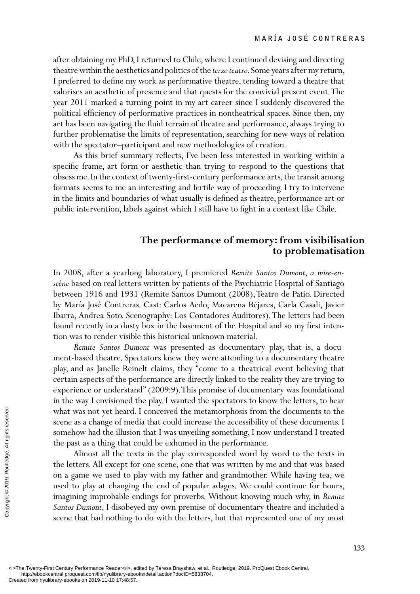after obtaining my PhD, I returned to Chile, where I continued devising and directing theatre within the aesthetics and politics of the *terzo teatro*. Some years after my return, I preferred to define my work as performative theatre, tending toward a theatre that valorises an aesthetic of presence and that quests for the convivial present event. The year 2011 marked a turning point in my art career since I suddenly discovered the political efficiency of performative practices in nontheatrical spaces. Since then, my art has been navigating the fluid terrain of theatre and performance, always trying to further problematise the limits of representation, searching for new ways of relation with the spectator–participant and new methodologies of creation.

As this brief summary reflects, I've been less interested in working within a specific frame, art form or aesthetic than trying to respond to the questions that obsess me. In the context of twenty-first-century performance arts, the transit among formats seems to me an interesting and fertile way of proceeding. I try to intervene in the limits and boundaries of what usually is defined as theatre, performance art or public intervention, labels against which I still have to fight in a context like Chile.

## **The performance of memory: from visibilisation to problematisation**

In 2008, after a yearlong laboratory, I premiered *Remite Santos Dumont*, *a mise-enscène* based on real letters written by patients of the Psychiatric Hospital of Santiago between 1916 and 1931 (Remite Santos Dumont (2008), Teatro de Patio. Directed by María José Contreras. Cast: Carlos Aedo, Macarena Béjares, Carla Casali, Javier Ibarra, Andrea Soto. Scenography: Los Contadores Auditores). The letters had been found recently in a dusty box in the basement of the Hospital and so my first intention was to render visible this historical unknown material.

*Remite Santos Dumont* was presented as documentary play, that is, a document-based theatre. Spectators knew they were attending to a documentary theatre play, and as Janelle Reinelt claims, they "come to a theatrical event believing that certain aspects of the performance are directly linked to the reality they are trying to experience or understand" (2009:9). This promise of documentary was foundational in the way I envisioned the play. I wanted the spectators to know the letters, to hear what was not yet heard. I conceived the metamorphosis from the documents to the scene as a change of media that could increase the accessibility of these documents. I somehow had the illusion that I was unveiling something, I now understand I treated the past as a thing that could be exhumed in the performance.

Almost all the texts in the play corresponded word by word to the texts in the letters. All except for one scene, one that was written by me and that was based on a game we used to play with my father and grandmother. While having tea, we used to play at changing the end of popular adages. We could continue for hours, imagining improbable endings for proverbs. Without knowing much why, in *Remite Santos Dumont*, I disobeyed my own premise of documentary theatre and included a scene that had nothing to do with the letters, but that represented one of my most What was not yet heard.<br>
scene as a change of mec<br>
scene as a change of mec<br>
scene as a ching that c<br>
der and the illusion<br>
der and the past as a thing that c<br>
Almost all the tex<br>
the letters. All except fo<br>
on a game we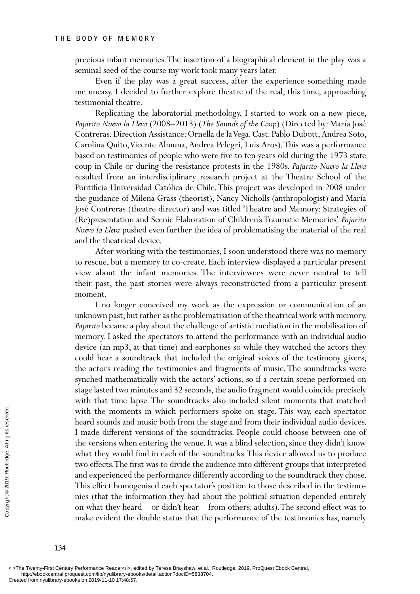precious infant memories. The insertion of a biographical element in the play was a seminal seed of the course my work took many years later.

Even if the play was a great success, after the experience something made me uneasy. I decided to further explore theatre of the real, this time, approaching testimonial theatre.

Replicating the laboratorial methodology, I started to work on a new piece, *Pajarito Nuevo la Lleva* (2008–2013) (*The Sounds of the Coup*) (Directed by: María José Contreras. Direction Assistance: Ornella de la Vega. Cast: Pablo Dubott, Andrea Soto, Carolina Quito, Vicente Almuna, Andrea Pelegri, Luis Aros). This was a performance based on testimonies of people who were five to ten years old during the 1973 state coup in Chile or during the resistance protests in the 1980s. *Pajarito Nuevo la Lleva* resulted from an interdisciplinary research project at the Theatre School of the Pontificia Universidad Católica de Chile. This project was developed in 2008 under the guidance of Milena Grass (theorist), Nancy Nicholls (anthropologist) and María José Contreras (theatre director) and was titled 'Theatre and Memory: Strategies of (Re)presentation and Scenic Elaboration of Children's Traumatic Memories'. *Pajarito Nuevo la Lleva* pushed even further the idea of problematising the material of the real and the theatrical device.

After working with the testimonies, I soon understood there was no memory to rescue, but a memory to co-create. Each interview displayed a particular present view about the infant memories. The interviewees were never neutral to tell their past, the past stories were always reconstructed from a particular present moment.

I no longer conceived my work as the expression or communication of an unknown past, but rather as the problematisation of the theatrical work with memory. *Pajarito* became a play about the challenge of artistic mediation in the mobilisation of memory. I asked the spectators to attend the performance with an individual audio device (an mp3, at that time) and earphones so while they watched the actors they could hear a soundtrack that included the original voices of the testimony givers, the actors reading the testimonies and fragments of music. The soundtracks were synched mathematically with the actors' actions, so if a certain scene performed on stage lasted two minutes and 32 seconds, the audio fragment would coincide precisely with that time lapse. The soundtracks also included silent moments that matched with the moments in which performers spoke on stage. This way, each spectator heard sounds and music both from the stage and from their individual audio devices. I made different versions of the soundtracks. People could choose between one of the versions when entering the venue. It was a blind selection, since they didn't know what they would find in each of the soundtracks. This device allowed us to produce two effects. The first was to divide the audience into different groups that interpreted and experienced the performance differently according to the soundtrack they chose. This effect homogenised each spectator's position to those described in the testimonies (that the information they had about the political situation depended entirely on what they heard – or didn't hear – from others: adults). The second effect was to make evident the double status that the performance of the testimonies has, namely Free the moment<br>
Free the services when<br>
Free the versions when<br>
what they would if<br>
two effects. The fir<br>
and experienced t<br>
This effect homog<br>
mise (that the info<br>
complise the served of the served of the served of the

<sup>&</sup>lt;i>The Twenty-First Century Performance Reader</i>, edited by Teresa Brayshaw, et al., Routledge, 2019. ProQuest Ebook Central, http://ebookcentral.proquest.com/lib/nyulibrary-ebooks/detail.action?docID=5838704.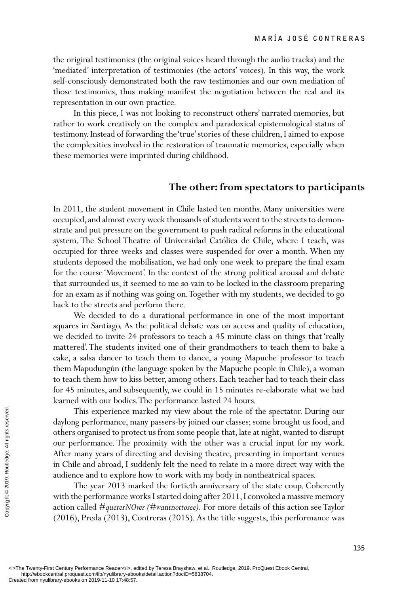the original testimonies (the original voices heard through the audio tracks) and the 'mediated' interpretation of testimonies (the actors' voices). In this way, the work self-consciously demonstrated both the raw testimonies and our own mediation of those testimonies, thus making manifest the negotiation between the real and its representation in our own practice.

In this piece, I was not looking to reconstruct others' narrated memories, but rather to work creatively on the complex and paradoxical epistemological status of testimony. Instead of forwarding the 'true' stories of these children, I aimed to expose the complexities involved in the restoration of traumatic memories, especially when these memories were imprinted during childhood.

# **The other: from spectators to participants**

In 2011, the student movement in Chile lasted ten months. Many universities were occupied, and almost every week thousands of students went to the streets to demonstrate and put pressure on the government to push radical reforms in the educational system. The School Theatre of Universidad Católica de Chile, where I teach, was occupied for three weeks and classes were suspended for over a month. When my students deposed the mobilisation, we had only one week to prepare the final exam for the course 'Movement'. In the context of the strong political arousal and debate that surrounded us, it seemed to me so vain to be locked in the classroom preparing for an exam as if nothing was going on. Together with my students, we decided to go back to the streets and perform there.

We decided to do a durational performance in one of the most important squares in Santiago. As the political debate was on access and quality of education, we decided to invite 24 professors to teach a 45 minute class on things that 'really mattered'. The students invited one of their grandmothers to teach them to bake a cake, a salsa dancer to teach them to dance, a young Mapuche professor to teach them Mapudungún (the language spoken by the Mapuche people in Chile), a woman to teach them how to kiss better, among others. Each teacher had to teach their class for 45 minutes, and subsequently, we could in 15 minutes re-elaborate what we had learned with our bodies. The performance lasted 24 hours.

This experience marked my view about the role of the spectator. During our daylong performance, many passers-by joined our classes; some brought us food, and others organised to protect us from some people that, late at night, wanted to disrupt our performance. The proximity with the other was a crucial input for my work. After many years of directing and devising theatre, presenting in important venues in Chile and abroad, I suddenly felt the need to relate in a more direct way with the audience and to explore how to work with my body in nontheatrical spaces. This experience m<br>
daylong performance, m<br>
others organised to protot<br>
our performance. The p<br>
After many years of dire<br>
in Chile and abroad, I su<br>
audience and to explore<br>
The year 2013 ma<br>
with the performance w<br>
action

The year 2013 marked the fortieth anniversary of the state coup. Coherently with the performance works I started doing after 2011, I convoked a massive memory action called *#quererNOver (#wantnottosee).* For more details of this action see Taylor (2016), Preda (2013), Contreras (2015). As the title suggests, this performance was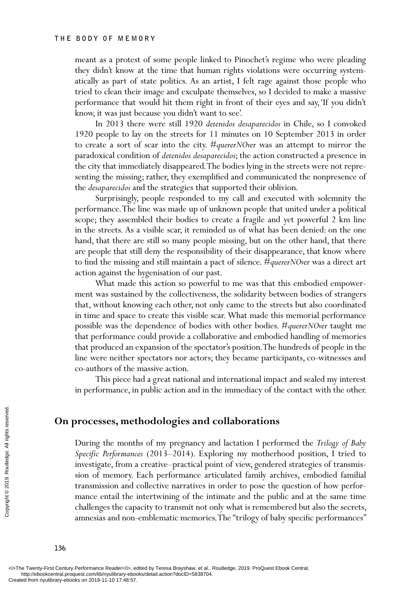meant as a protest of some people linked to Pinochet's regime who were pleading they didn't know at the time that human rights violations were occurring systematically as part of state politics. As an artist, I felt rage against those people who tried to clean their image and exculpate themselves, so I decided to make a massive performance that would hit them right in front of their eyes and say, 'If you didn't know, it was just because you didn't want to see'.

In 2013 there were still 1920 *detenidos desaparecidos* in Chile, so I convoked 1920 people to lay on the streets for 11 minutes on 10 September 2013 in order to create a sort of scar into the city. *#quererNOver* was an attempt to mirror the paradoxical condition of *detenidos desaparecidos*; the action constructed a presence in the city that immediately disappeared. The bodies lying in the streets were not representing the missing; rather, they exemplified and communicated the nonpresence of the *desaparecidos* and the strategies that supported their oblivion.

Surprisingly, people responded to my call and executed with solemnity the performance. The line was made up of unknown people that united under a political scope; they assembled their bodies to create a fragile and yet powerful 2 km line in the streets. As a visible scar, it reminded us of what has been denied: on the one hand, that there are still so many people missing, but on the other hand, that there are people that still deny the responsibility of their disappearance, that know where to find the missing and still maintain a pact of silence. *#quererNOver* was a direct art action against the hygenisation of our past.

What made this action so powerful to me was that this embodied empowerment was sustained by the collectiveness, the solidarity between bodies of strangers that, without knowing each other, not only came to the streets but also coordinated in time and space to create this visible scar. What made this memorial performance possible was the dependence of bodies with other bodies. #*quererNOver* taught me that performance could provide a collaborative and embodied handling of memories that produced an expansion of the spectator's position. The hundreds of people in the line were neither spectators nor actors; they became participants, co-witnesses and co-authors of the massive action.

This piece had a great national and international impact and sealed my interest in performance, in public action and in the immediacy of the contact with the other.

# **On processes, methodologies and collaborations**

During the months of my pregnancy and lactation I performed the *Trilogy of Baby Specific Performances* (2013–2014). Exploring my motherhood position, I tried to investigate, from a creative–practical point of view, gendered strategies of transmission of memory. Each performance articulated family archives, embodied familial transmission and collective narratives in order to pose the question of how performance entail the intertwining of the intimate and the public and at the same time challenges the capacity to transmit not only what is remembered but also the secrets, amnesias and non-emblematic memories. The "trilogy of baby specific performances" **Created from nyulibrary-ebooks on 2019-11-10 17:48:57.**<br>Created from nyulibrary-ebooks on 2019-11-10 17:48:57.<br>Created from nyulibrary-ebooks on 2019-11-10 17:48:57.

<sup>&</sup>lt;i>The Twenty-First Century Performance Reader</i>, edited by Teresa Brayshaw, et al., Routledge, 2019. ProQuest Ebook Central, http://ebookcentral.proquest.com/lib/nyulibrary-ebooks/detail.action?docID=5838704.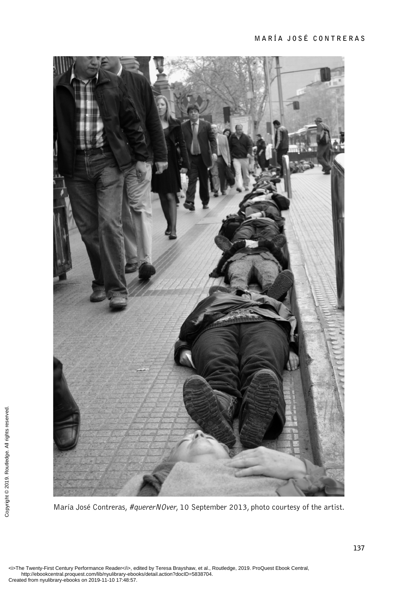

María José Contreras, #quererNOver, 10 September 2013, photo courtesy of the artist.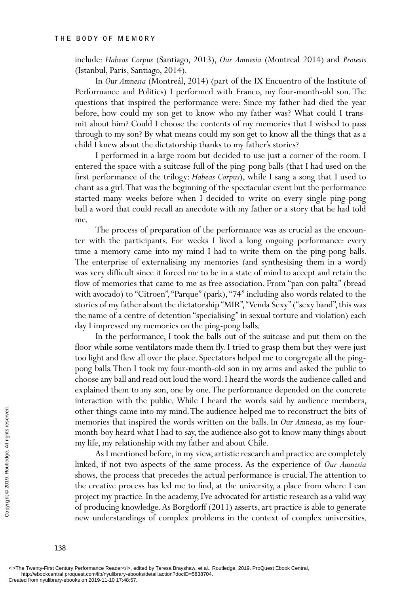include: *Habeas Corpus* (Santiago, 2013), *Our Amnesia* (Montreal 2014) and *Protesis* (Istanbul, Paris, Santiago, 2014).

In *Our Amnesia* (Montreál, 2014) (part of the IX Encuentro of the Institute of Performance and Politics) I performed with Franco, my four-month-old son. The questions that inspired the performance were: Since my father had died the year before, how could my son get to know who my father was? What could I transmit about him? Could I choose the contents of my memories that I wished to pass through to my son? By what means could my son get to know all the things that as a child I knew about the dictatorship thanks to my father's stories?

I performed in a large room but decided to use just a corner of the room. I entered the space with a suitcase full of the ping-pong balls (that I had used on the first performance of the trilogy: *Habeas Corpus*), while I sang a song that I used to chant as a girl. That was the beginning of the spectacular event but the performance started many weeks before when I decided to write on every single ping-pong ball a word that could recall an anecdote with my father or a story that he had told me.

The process of preparation of the performance was as crucial as the encounter with the participants. For weeks I lived a long ongoing performance: every time a memory came into my mind I had to write them on the ping-pong balls. The enterprise of externalising my memories (and synthesising them in a word) was very difficult since it forced me to be in a state of mind to accept and retain the flow of memories that came to me as free association. From "pan con palta" (bread with avocado) to "Citroen", "Parque" (park), "74" including also words related to the stories of my father about the dictatorship "MIR", "Venda Sexy" ("sexy band", this was the name of a centre of detention "specialising" in sexual torture and violation) each day I impressed my memories on the ping-pong balls.

In the performance, I took the balls out of the suitcase and put them on the floor while some ventilators made them fly. I tried to grasp them but they were just too light and flew all over the place. Spectators helped me to congregate all the pingpong balls. Then I took my four-month-old son in my arms and asked the public to choose any ball and read out loud the word. I heard the words the audience called and explained them to my son, one by one. The performance depended on the concrete interaction with the public. While I heard the words said by audience members, other things came into my mind. The audience helped me to reconstruct the bits of memories that inspired the words written on the balls. In *Our Amnesia*, as my fourmonth-boy heard what I had to say, the audience also got to know many things about my life, my relationship with my father and about Chile.

As I mentioned before, in my view, artistic research and practice are completely linked, if not two aspects of the same process. As the experience of *Our Amnesia* shows, the process that precedes the actual performance is crucial. The attention to the creative process has led me to find, at the university, a place from where I can project my practice. In the academy, I've advocated for artistic research as a valid way of producing knowledge. As Borgdorff (2011) asserts, art practice is able to generate new understandings of complex problems in the context of complex universities. other things came<br>
memories that ins<br>
month-boy heard<br>
my life, my relatio<br>
As I mentior<br>
as a<br>
directive process.<br>
the creative process<br>
the creative process<br>
the creative proces<br>
project my practic<br>
of producing know<br>

<sup>&</sup>lt;i>The Twenty-First Century Performance Reader</i>, edited by Teresa Brayshaw, et al., Routledge, 2019. ProQuest Ebook Central, http://ebookcentral.proquest.com/lib/nyulibrary-ebooks/detail.action?docID=5838704.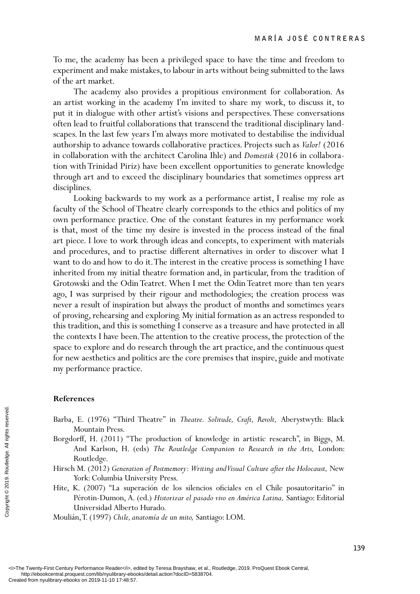To me, the academy has been a privileged space to have the time and freedom to experiment and make mistakes, to labour in arts without being submitted to the laws of the art market.

The academy also provides a propitious environment for collaboration. As an artist working in the academy I'm invited to share my work, to discuss it, to put it in dialogue with other artist's visions and perspectives. These conversations often lead to fruitful collaborations that transcend the traditional disciplinary landscapes. In the last few years I'm always more motivated to destabilise the individual authorship to advance towards collaborative practices. Projects such as *Valor!* (2016 in collaboration with the architect Carolina Ihle) and *Domestik* (2016 in collaboration with Trinidad Piriz) have been excellent opportunities to generate knowledge through art and to exceed the disciplinary boundaries that sometimes oppress art disciplines.

Looking backwards to my work as a performance artist, I realise my role as faculty of the School of Theatre clearly corresponds to the ethics and politics of my own performance practice. One of the constant features in my performance work is that, most of the time my desire is invested in the process instead of the final art piece. I love to work through ideas and concepts, to experiment with materials and procedures, and to practise different alternatives in order to discover what I want to do and how to do it. The interest in the creative process is something I have inherited from my initial theatre formation and, in particular, from the tradition of Grotowski and the Odin Teatret. When I met the Odin Teatret more than ten years ago, I was surprised by their rigour and methodologies; the creation process was never a result of inspiration but always the product of months and sometimes years of proving, rehearsing and exploring. My initial formation as an actress responded to this tradition, and this is something I conserve as a treasure and have protected in all the contexts I have been. The attention to the creative process, the protection of the space to explore and do research through the art practice, and the continuous quest for new aesthetics and politics are the core premises that inspire, guide and motivate my performance practice.

#### **References**

- Barba, E. (1976) "Third Theatre" in *Theatre. Solitude, Craft, Revolt,* Aberystwyth: Black Mountain Press.
- Borgdorff, H. (2011) "The production of knowledge in artistic research", in Biggs, M. And Karlson, H. (eds) *The Routledge Companion to Research in the Arts,* London: Routledge.
- Hirsch M. (2012) *Generation of Postmemory: Writing and Visual Culture after the Holocaust,* New York: Columbia University Press.
- Hite, K. (2007) "La superación de los silencios oficiales en el Chile posautoritario" in Pérotin-Dumon, A. (ed.) *Historizar el pasado vivo en América Latina,* Santiago: Editorial Universidad Alberto Hurado. Barba, E. (1976) "Third<br>
Mountain Press.<br>
Borgdorff, H. (2011) "The And Karlson, H. (6<br>
Routledge.<br>
Hirsch M. (2012) *Generatis*<br>
York: Columbia Uni<br>
Hite, K. (2007) "La supe<br>
Pérotin-Dumon, A.<br>
Universidad Alberto<br>
Mouli

Moulián, T. (1997) *Chile, anatomía de un mito,* Santiago: LOM.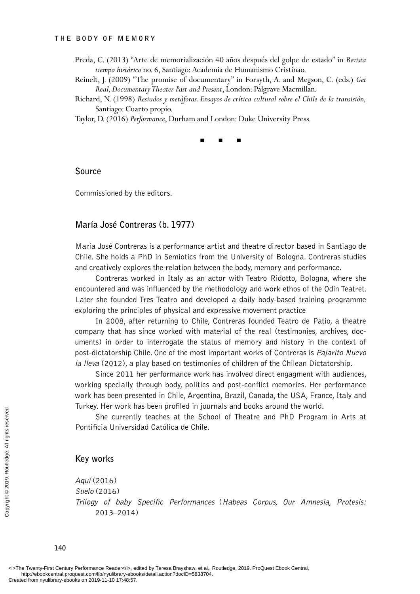- Preda, C. (2013) "Arte de memorialización 40 años después del golpe de estado" in *Revista tiempo histórico* no. 6, Santiago: Academia de Humanismo Cristinao.
- Reinelt, J. (2009) "The promise of documentary" in Forsyth, A. and Megson, C. (eds.) *Get Real, Documentary Theater Past and Present*, London: Palgrave Macmillan.
- Richard, N. (1998) *Resiudos y metáforas. Ensayos de crítica cultural sobre el Chile de la transisión,* Santiago: Cuarto propio.

Taylor, D. (2016) *Performance*, Durham and London: Duke University Press.

■ ■ ■

#### **Source**

Commissioned by the editors.

## **María José Contreras (b. 1977)**

María José Contreras is a performance artist and theatre director based in Santiago de Chile. She holds a PhD in Semiotics from the University of Bologna. Contreras studies and creatively explores the relation between the body, memory and performance.

Contreras worked in Italy as an actor with Teatro Ridotto, Bologna, where she encountered and was influenced by the methodology and work ethos of the Odin Teatret. Later she founded Tres Teatro and developed a daily body-based training programme exploring the principles of physical and expressive movement practice

In 2008, after returning to Chile, Contreras founded Teatro de Patio, a theatre company that has since worked with material of the real (testimonies, archives, documents) in order to interrogate the status of memory and history in the context of post-dictatorship Chile. One of the most important works of Contreras is Pajarito Nuevo la lleva (2012), a play based on testimonies of children of the Chilean Dictatorship.

Since 2011 her performance work has involved direct engagment with audiences, working specially through body, politics and post-conflict memories. Her performance work has been presented in Chile, Argentina, Brazil, Canada, the USA, France, Italy and Turkey. Her work has been profiled in journals and books around the world.

She currently teaches at the School of Theatre and PhD Program in Arts at Pontificia Universidad Católica de Chile.

#### **Key works**

Aquí (2016)

Suelo (2016)

Trilogy of baby Specific Performances (Habeas Corpus, Our Amnesia, Protesis: 2013–2014)

<sup>&</sup>lt;i>The Twenty-First Century Performance Reader</i>, edited by Teresa Brayshaw, et al., Routledge, 2019. ProQuest Ebook Central, http://ebookcentral.proquest.com/lib/nyulibrary-ebooks/detail.action?docID=5838704.<br>Created from nyulibrary-ebooks on 2019-11-10 17:48:57. Example is a set of contract the contract of the contract of the contract of the contract of the set of the set of the set of the set of the set of the set of the set of the set of the set of the set of the set of the set